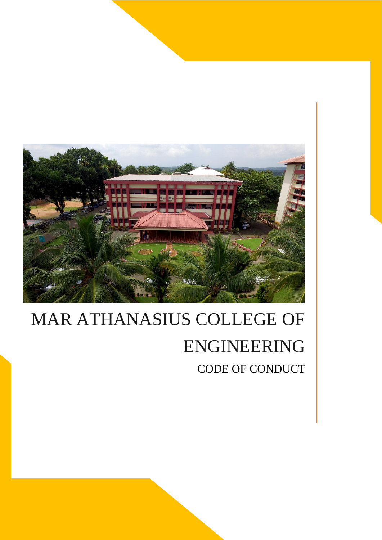

# MAR ATHANASIUS COLLEGE OF ENGINEERING CODE OF CONDUCT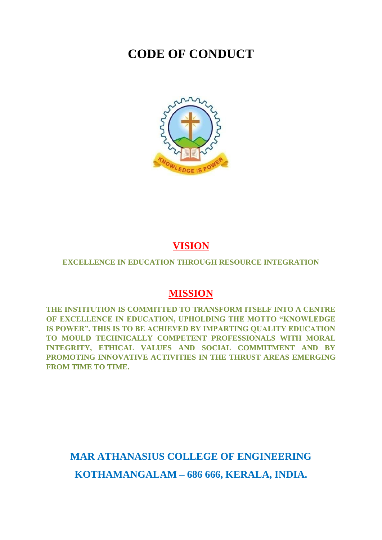# **CODE OF CONDUCT**



# **VISION**

#### **EXCELLENCE IN EDUCATION THROUGH RESOURCE INTEGRATION**

## **MISSION**

**THE INSTITUTION IS COMMITTED TO TRANSFORM ITSELF INTO A CENTRE OF EXCELLENCE IN EDUCATION, UPHOLDING THE MOTTO "KNOWLEDGE IS POWER". THIS IS TO BE ACHIEVED BY IMPARTING QUALITY EDUCATION TO MOULD TECHNICALLY COMPETENT PROFESSIONALS WITH MORAL INTEGRITY, ETHICAL VALUES AND SOCIAL COMMITMENT AND BY PROMOTING INNOVATIVE ACTIVITIES IN THE THRUST AREAS EMERGING FROM TIME TO TIME.**

# **MAR ATHANASIUS COLLEGE OF ENGINEERING KOTHAMANGALAM – 686 666, KERALA, INDIA.**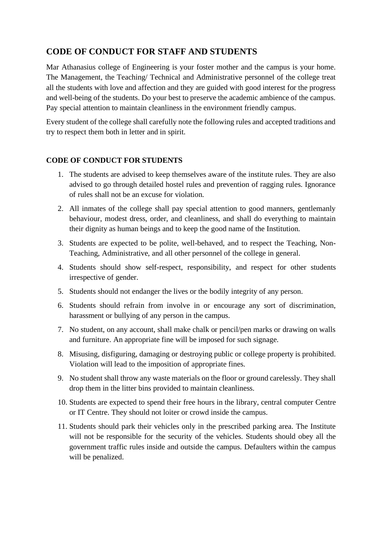## **CODE OF CONDUCT FOR STAFF AND STUDENTS**

Mar Athanasius college of Engineering is your foster mother and the campus is your home. The Management, the Teaching/ Technical and Administrative personnel of the college treat all the students with love and affection and they are guided with good interest for the progress and well-being of the students. Do your best to preserve the academic ambience of the campus. Pay special attention to maintain cleanliness in the environment friendly campus.

Every student of the college shall carefully note the following rules and accepted traditions and try to respect them both in letter and in spirit.

#### **CODE OF CONDUCT FOR STUDENTS**

- 1. The students are advised to keep themselves aware of the institute rules. They are also advised to go through detailed hostel rules and prevention of ragging rules. Ignorance of rules shall not be an excuse for violation.
- 2. All inmates of the college shall pay special attention to good manners, gentlemanly behaviour, modest dress, order, and cleanliness, and shall do everything to maintain their dignity as human beings and to keep the good name of the Institution.
- 3. Students are expected to be polite, well-behaved, and to respect the Teaching, Non-Teaching, Administrative, and all other personnel of the college in general.
- 4. Students should show self-respect, responsibility, and respect for other students irrespective of gender.
- 5. Students should not endanger the lives or the bodily integrity of any person.
- 6. Students should refrain from involve in or encourage any sort of discrimination, harassment or bullying of any person in the campus.
- 7. No student, on any account, shall make chalk or pencil/pen marks or drawing on walls and furniture. An appropriate fine will be imposed for such signage.
- 8. Misusing, disfiguring, damaging or destroying public or college property is prohibited. Violation will lead to the imposition of appropriate fines.
- 9. No student shall throw any waste materials on the floor or ground carelessly. They shall drop them in the litter bins provided to maintain cleanliness.
- 10. Students are expected to spend their free hours in the library, central computer Centre or IT Centre. They should not loiter or crowd inside the campus.
- 11. Students should park their vehicles only in the prescribed parking area. The Institute will not be responsible for the security of the vehicles. Students should obey all the government traffic rules inside and outside the campus. Defaulters within the campus will be penalized.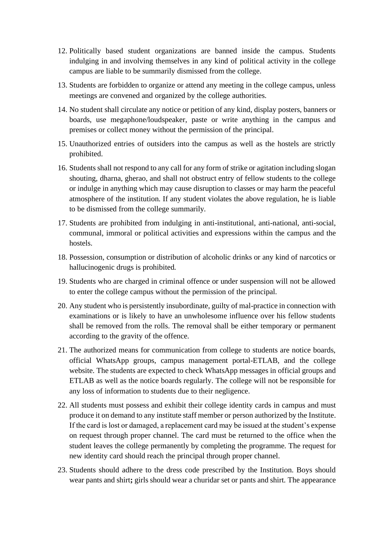- 12. Politically based student organizations are banned inside the campus. Students indulging in and involving themselves in any kind of political activity in the college campus are liable to be summarily dismissed from the college.
- 13. Students are forbidden to organize or attend any meeting in the college campus, unless meetings are convened and organized by the college authorities.
- 14. No student shall circulate any notice or petition of any kind, display posters, banners or boards, use megaphone/loudspeaker, paste or write anything in the campus and premises or collect money without the permission of the principal.
- 15. Unauthorized entries of outsiders into the campus as well as the hostels are strictly prohibited.
- 16. Students shall not respond to any call for any form of strike or agitation including slogan shouting, dharna, gherao, and shall not obstruct entry of fellow students to the college or indulge in anything which may cause disruption to classes or may harm the peaceful atmosphere of the institution. If any student violates the above regulation, he is liable to be dismissed from the college summarily.
- 17. Students are prohibited from indulging in anti-institutional, anti-national, anti-social, communal, immoral or political activities and expressions within the campus and the hostels.
- 18. Possession, consumption or distribution of alcoholic drinks or any kind of narcotics or hallucinogenic drugs is prohibited.
- 19. Students who are charged in criminal offence or under suspension will not be allowed to enter the college campus without the permission of the principal.
- 20. Any student who is persistently insubordinate, guilty of mal-practice in connection with examinations or is likely to have an unwholesome influence over his fellow students shall be removed from the rolls. The removal shall be either temporary or permanent according to the gravity of the offence.
- 21. The authorized means for communication from college to students are notice boards, official WhatsApp groups, campus management portal-ETLAB, and the college website. The students are expected to check WhatsApp messages in official groups and ETLAB as well as the notice boards regularly. The college will not be responsible for any loss of information to students due to their negligence.
- 22. All students must possess and exhibit their college identity cards in campus and must produce it on demand to any institute staff member or person authorized by the Institute. If the card is lost or damaged, a replacement card may be issued at the student's expense on request through proper channel. The card must be returned to the office when the student leaves the college permanently by completing the programme. The request for new identity card should reach the principal through proper channel.
- 23. Students should adhere to the dress code prescribed by the Institution. Boys should wear pants and shirt**;** girls should wear a churidar set or pants and shirt. The appearance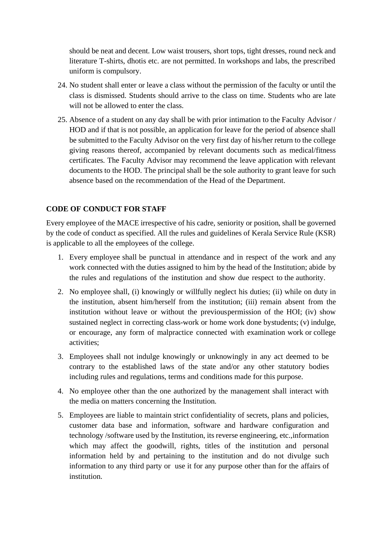should be neat and decent. Low waist trousers, short tops, tight dresses, round neck and literature T-shirts, dhotis etc. are not permitted. In workshops and labs, the prescribed uniform is compulsory.

- 24. No student shall enter or leave a class without the permission of the faculty or until the class is dismissed. Students should arrive to the class on time. Students who are late will not be allowed to enter the class.
- 25. Absence of a student on any day shall be with prior intimation to the Faculty Advisor / HOD and if that is not possible, an application for leave for the period of absence shall be submitted to the Faculty Advisor on the very first day of his/her return to the college giving reasons thereof, accompanied by relevant documents such as medical/fitness certificates. The Faculty Advisor may recommend the leave application with relevant documents to the HOD. The principal shall be the sole authority to grant leave for such absence based on the recommendation of the Head of the Department.

### **CODE OF CONDUCT FOR STAFF**

Every employee of the MACE irrespective of his cadre, seniority or position, shall be governed by the code of conduct as specified. All the rules and guidelines of Kerala Service Rule (KSR) is applicable to all the employees of the college.

- 1. Every employee shall be punctual in attendance and in respect of the work and any work connected with the duties assigned to him by the head of the Institution; abide by the rules and regulations of the institution and show due respect to the authority.
- 2. No employee shall, (i) knowingly or willfully neglect his duties; (ii) while on duty in the institution, absent him/herself from the institution; (iii) remain absent from the institution without leave or without the previouspermission of the HOI; (iv) show sustained neglect in correcting class-work or home work done bystudents; (v) indulge, or encourage, any form of malpractice connected with examination work or college activities;
- 3. Employees shall not indulge knowingly or unknowingly in any act deemed to be contrary to the established laws of the state and/or any other statutory bodies including rules and regulations, terms and conditions made for this purpose.
- 4. No employee other than the one authorized by the management shall interact with the media on matters concerning the Institution.
- 5. Employees are liable to maintain strict confidentiality of secrets, plans and policies, customer data base and information, software and hardware configuration and technology /software used by the Institution, its reverse engineering, etc.,information which may affect the goodwill, rights, titles of the institution and personal information held by and pertaining to the institution and do not divulge such information to any third party or use it for any purpose other than for the affairs of institution.